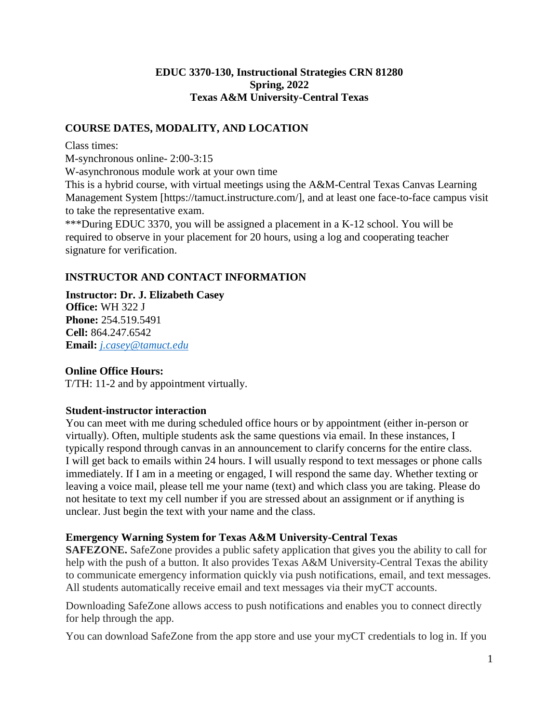#### **EDUC 3370-130, Instructional Strategies CRN 81280 Spring, 2022 Texas A&M University-Central Texas**

### **COURSE DATES, MODALITY, AND LOCATION**

Class times:

M-synchronous online- 2:00-3:15

W-asynchronous module work at your own time

This is a hybrid course, with virtual meetings using the A&M-Central Texas Canvas Learning Management System [https://tamuct.instructure.com/], and at least one face-to-face campus visit to take the representative exam.

\*\*\*During EDUC 3370, you will be assigned a placement in a K-12 school. You will be required to observe in your placement for 20 hours, using a log and cooperating teacher signature for verification.

## **INSTRUCTOR AND CONTACT INFORMATION**

**Instructor: Dr. J. Elizabeth Casey Office:** WH 322 J **Phone:** 254.519.5491 **Cell:** 864.247.6542 **Email:** *[j.casey@tamuct.edu](mailto:j.casey@tamuct.edu)*

### **Online Office Hours:**

T/TH: 11-2 and by appointment virtually.

#### **Student-instructor interaction**

You can meet with me during scheduled office hours or by appointment (either in-person or virtually). Often, multiple students ask the same questions via email. In these instances, I typically respond through canvas in an announcement to clarify concerns for the entire class. I will get back to emails within 24 hours. I will usually respond to text messages or phone calls immediately. If I am in a meeting or engaged, I will respond the same day. Whether texting or leaving a voice mail, please tell me your name (text) and which class you are taking. Please do not hesitate to text my cell number if you are stressed about an assignment or if anything is unclear. Just begin the text with your name and the class.

### **Emergency Warning System for Texas A&M University-Central Texas**

**SAFEZONE.** SafeZone provides a public safety application that gives you the ability to call for help with the push of a button. It also provides Texas A&M University-Central Texas the ability to communicate emergency information quickly via push notifications, email, and text messages. All students automatically receive email and text messages via their myCT accounts.

Downloading SafeZone allows access to push notifications and enables you to connect directly for help through the app.

You can download SafeZone from the app store and use your myCT credentials to log in. If you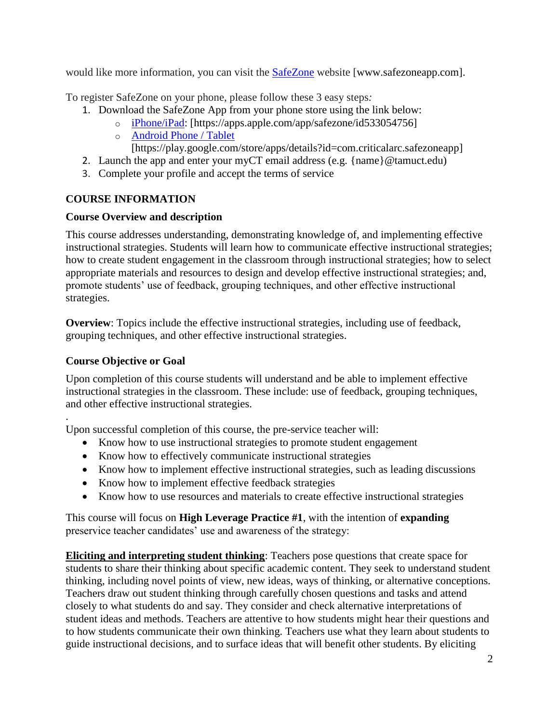would like more information, you can visit the [SafeZone](http://www.safezoneapp.com/) website [www.safezoneapp.com].

To register SafeZone on your phone, please follow these 3 easy steps*:*

- 1. Download the SafeZone App from your phone store using the link below:
	- o [iPhone/iPad:](https://apps.apple.com/app/safezone/id533054756) [https://apps.apple.com/app/safezone/id533054756]
	- o [Android Phone / Tablet](https://play.google.com/store/apps/details?id=com.criticalarc.safezoneapp) [https://play.google.com/store/apps/details?id=com.criticalarc.safezoneapp]
- 2. Launch the app and enter your myCT email address (e.g. {name}@tamuct.edu)
- 3. Complete your profile and accept the terms of service

## **COURSE INFORMATION**

### **Course Overview and description**

This course addresses understanding, demonstrating knowledge of, and implementing effective instructional strategies. Students will learn how to communicate effective instructional strategies; how to create student engagement in the classroom through instructional strategies; how to select appropriate materials and resources to design and develop effective instructional strategies; and, promote students' use of feedback, grouping techniques, and other effective instructional strategies.

**Overview**: Topics include the effective instructional strategies, including use of feedback, grouping techniques, and other effective instructional strategies.

### **Course Objective or Goal**

Upon completion of this course students will understand and be able to implement effective instructional strategies in the classroom. These include: use of feedback, grouping techniques, and other effective instructional strategies.

. Upon successful completion of this course, the pre-service teacher will:

- Know how to use instructional strategies to promote student engagement
- Know how to effectively communicate instructional strategies
- Know how to implement effective instructional strategies, such as leading discussions
- Know how to implement effective feedback strategies
- Know how to use resources and materials to create effective instructional strategies

This course will focus on **High Leverage Practice #1**, with the intention of **expanding** preservice teacher candidates' use and awareness of the strategy:

**Eliciting and interpreting student thinking**: Teachers pose questions that create space for students to share their thinking about specific academic content. They seek to understand student thinking, including novel points of view, new ideas, ways of thinking, or alternative conceptions. Teachers draw out student thinking through carefully chosen questions and tasks and attend closely to what students do and say. They consider and check alternative interpretations of student ideas and methods. Teachers are attentive to how students might hear their questions and to how students communicate their own thinking. Teachers use what they learn about students to guide instructional decisions, and to surface ideas that will benefit other students. By eliciting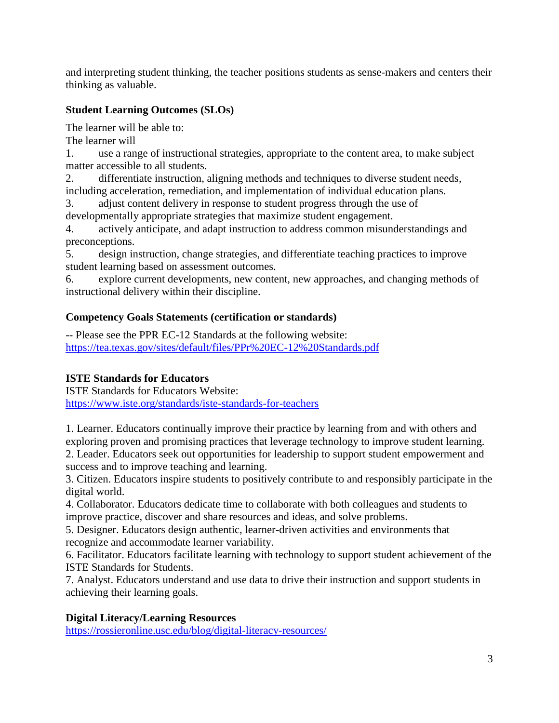and interpreting student thinking, the teacher positions students as sense-makers and centers their thinking as valuable.

# **Student Learning Outcomes (SLOs)**

The learner will be able to:

The learner will

1. use a range of instructional strategies, appropriate to the content area, to make subject matter accessible to all students.

2. differentiate instruction, aligning methods and techniques to diverse student needs, including acceleration, remediation, and implementation of individual education plans.

3. adjust content delivery in response to student progress through the use of developmentally appropriate strategies that maximize student engagement.

4. actively anticipate, and adapt instruction to address common misunderstandings and preconceptions.

5. design instruction, change strategies, and differentiate teaching practices to improve student learning based on assessment outcomes.

6. explore current developments, new content, new approaches, and changing methods of instructional delivery within their discipline.

# **Competency Goals Statements (certification or standards)**

-- Please see the PPR EC-12 Standards at the following website: <https://tea.texas.gov/sites/default/files/PPr%20EC-12%20Standards.pdf>

# **ISTE Standards for Educators**

ISTE Standards for Educators Website: [https://www.iste.org/standards/iste-standards-for-teachers](https://nam04.safelinks.protection.outlook.com/?url=https%3A%2F%2Fwww.iste.org%2Fstandards%2Fiste-standards-for-teachers&data=04%7C01%7Cj.casey%40tamuct.edu%7C3569a34bfb49407f796008d9671752b2%7C9eed4e3000f744849ff193ad8005acec%7C0%7C0%7C637654172134813953%7CUnknown%7CTWFpbGZsb3d8eyJWIjoiMC4wLjAwMDAiLCJQIjoiV2luMzIiLCJBTiI6Ik1haWwiLCJXVCI6Mn0%3D%7C1000&sdata=OK%2FLUDBU8TSaCkjCtPEj6LxVMXQ4U1C4YKwb4lWkkqM%3D&reserved=0)

1. Learner. Educators continually improve their practice by learning from and with others and exploring proven and promising practices that leverage technology to improve student learning. 2. Leader. Educators seek out opportunities for leadership to support student empowerment and success and to improve teaching and learning.

3. Citizen. Educators inspire students to positively contribute to and responsibly participate in the digital world.

4. Collaborator. Educators dedicate time to collaborate with both colleagues and students to improve practice, discover and share resources and ideas, and solve problems.

5. Designer. Educators design authentic, learner-driven activities and environments that recognize and accommodate learner variability.

6. Facilitator. Educators facilitate learning with technology to support student achievement of the ISTE Standards for Students.

7. Analyst. Educators understand and use data to drive their instruction and support students in achieving their learning goals.

### **Digital Literacy/Learning Resources**

[https://rossieronline.usc.edu/blog/digital-literacy-resources/](https://nam04.safelinks.protection.outlook.com/?url=https%3A%2F%2Frossieronline.usc.edu%2Fblog%2Fdigital-literacy-resources%2F&data=04%7C01%7Cj.casey%40tamuct.edu%7C3569a34bfb49407f796008d9671752b2%7C9eed4e3000f744849ff193ad8005acec%7C0%7C0%7C637654172134813953%7CUnknown%7CTWFpbGZsb3d8eyJWIjoiMC4wLjAwMDAiLCJQIjoiV2luMzIiLCJBTiI6Ik1haWwiLCJXVCI6Mn0%3D%7C1000&sdata=fMtE6rsOnjLSxq43ITD35zhV0jUxQVUN%2BOFZlfdAHac%3D&reserved=0)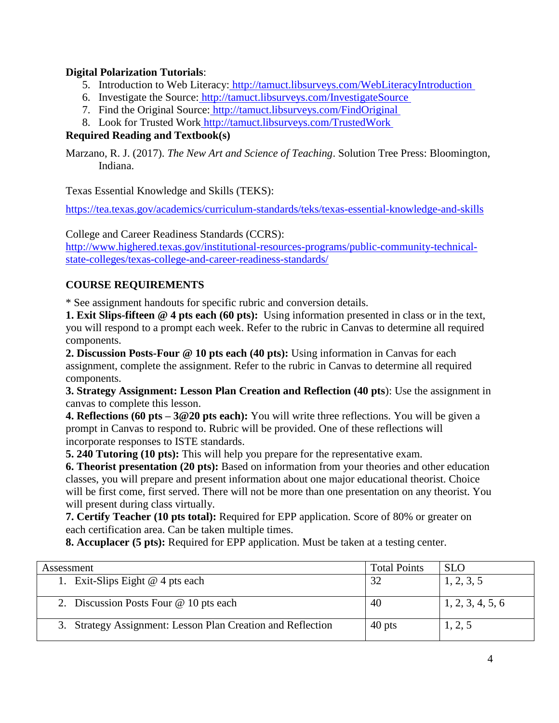## **Digital Polarization Tutorials**:

- 5. Introduction to Web Literacy[:](https://nam04.safelinks.protection.outlook.com/?url=http%3A%2F%2Ftamuct.libsurveys.com%2FWebLiteracyIntroduction&data=04%7C01%7Cj.casey%40tamuct.edu%7C3569a34bfb49407f796008d9671752b2%7C9eed4e3000f744849ff193ad8005acec%7C0%7C0%7C637654172134823910%7CUnknown%7CTWFpbGZsb3d8eyJWIjoiMC4wLjAwMDAiLCJQIjoiV2luMzIiLCJBTiI6Ik1haWwiLCJXVCI6Mn0%3D%7C1000&sdata=SboLpPI7gVW21TF602I6NrAjIqbOgUuF2eL8z%2BBMGa4%3D&reserved=0) [http://tamuct.libsurveys.com/WebLiteracyIntroduction](https://nam04.safelinks.protection.outlook.com/?url=http%3A%2F%2Ftamuct.libsurveys.com%2FWebLiteracyIntroduction&data=04%7C01%7Cj.casey%40tamuct.edu%7C3569a34bfb49407f796008d9671752b2%7C9eed4e3000f744849ff193ad8005acec%7C0%7C0%7C637654172134823910%7CUnknown%7CTWFpbGZsb3d8eyJWIjoiMC4wLjAwMDAiLCJQIjoiV2luMzIiLCJBTiI6Ik1haWwiLCJXVCI6Mn0%3D%7C1000&sdata=SboLpPI7gVW21TF602I6NrAjIqbOgUuF2eL8z%2BBMGa4%3D&reserved=0)
- 6. Investigate the Source: [http://tamuct.libsurveys.com/InvestigateSource](https://nam04.safelinks.protection.outlook.com/?url=http%3A%2F%2Ftamuct.libsurveys.com%2FInvestigateSource&data=04%7C01%7Cj.casey%40tamuct.edu%7C3569a34bfb49407f796008d9671752b2%7C9eed4e3000f744849ff193ad8005acec%7C0%7C0%7C637654172134833864%7CUnknown%7CTWFpbGZsb3d8eyJWIjoiMC4wLjAwMDAiLCJQIjoiV2luMzIiLCJBTiI6Ik1haWwiLCJXVCI6Mn0%3D%7C1000&sdata=K4FEP7ReTrVzfkTNQcTxtVXPiBvbGsrmxNmIj42Y4jM%3D&reserved=0)
- 7. Find the Original Source: [http://tamuct.libsurveys.com/FindOriginal](https://nam04.safelinks.protection.outlook.com/?url=http%3A%2F%2Ftamuct.libsurveys.com%2FFindOriginal.&data=04%7C01%7Cj.casey%40tamuct.edu%7C3569a34bfb49407f796008d9671752b2%7C9eed4e3000f744849ff193ad8005acec%7C0%7C0%7C637654172134843819%7CUnknown%7CTWFpbGZsb3d8eyJWIjoiMC4wLjAwMDAiLCJQIjoiV2luMzIiLCJBTiI6Ik1haWwiLCJXVCI6Mn0%3D%7C1000&sdata=gbibrT2RWklocOb1VUw1omfkZJcIXx%2BS1lZRGuTvtYc%3D&reserved=0)
- 8. Look for Trusted Work [http://tamuct.libsurveys.com/TrustedWork](https://nam04.safelinks.protection.outlook.com/?url=http%3A%2F%2Ftamuct.libsurveys.com%2FTrustedWork&data=04%7C01%7Cj.casey%40tamuct.edu%7C3569a34bfb49407f796008d9671752b2%7C9eed4e3000f744849ff193ad8005acec%7C0%7C0%7C637654172134853775%7CUnknown%7CTWFpbGZsb3d8eyJWIjoiMC4wLjAwMDAiLCJQIjoiV2luMzIiLCJBTiI6Ik1haWwiLCJXVCI6Mn0%3D%7C1000&sdata=96QH1c40devCvRgH0neFzfVUwn9O0FlGD%2Fsm%2B3AKJic%3D&reserved=0)

# **Required Reading and Textbook(s)**

Marzano, R. J. (2017). *The New Art and Science of Teaching*. Solution Tree Press: Bloomington, Indiana.

Texas Essential Knowledge and Skills (TEKS):

<https://tea.texas.gov/academics/curriculum-standards/teks/texas-essential-knowledge-and-skills>

College and Career Readiness Standards (CCRS):

[http://www.highered.texas.gov/institutional-resources-programs/public-community-technical](http://www.highered.texas.gov/institutional-resources-programs/public-community-technical-state-colleges/texas-college-and-career-readiness-standards/)[state-colleges/texas-college-and-career-readiness-standards/](http://www.highered.texas.gov/institutional-resources-programs/public-community-technical-state-colleges/texas-college-and-career-readiness-standards/)

# **COURSE REQUIREMENTS**

\* See assignment handouts for specific rubric and conversion details.

**1. Exit Slips-fifteen @ 4 pts each (60 pts):** Using information presented in class or in the text, you will respond to a prompt each week. Refer to the rubric in Canvas to determine all required components.

**2. Discussion Posts-Four @ 10 pts each (40 pts):** Using information in Canvas for each assignment, complete the assignment. Refer to the rubric in Canvas to determine all required components.

**3. Strategy Assignment: Lesson Plan Creation and Reflection (40 pts**): Use the assignment in canvas to complete this lesson.

**4. Reflections (60 pts – 3@20 pts each):** You will write three reflections. You will be given a prompt in Canvas to respond to. Rubric will be provided. One of these reflections will incorporate responses to ISTE standards.

**5. 240 Tutoring (10 pts):** This will help you prepare for the representative exam.

**6. Theorist presentation (20 pts):** Based on information from your theories and other education classes, you will prepare and present information about one major educational theorist. Choice will be first come, first served. There will not be more than one presentation on any theorist. You will present during class virtually.

**7. Certify Teacher (10 pts total):** Required for EPP application. Score of 80% or greater on each certification area. Can be taken multiple times.

**8. Accuplacer (5 pts):** Required for EPP application. Must be taken at a testing center.

| Assessment                                                  | <b>Total Points</b> | <b>SLO</b>       |
|-------------------------------------------------------------|---------------------|------------------|
| 1. Exit-Slips Eight $@$ 4 pts each                          |                     | 1, 2, 3, 5       |
| 2. Discussion Posts Four @ 10 pts each                      | 40                  | 1, 2, 3, 4, 5, 6 |
| 3. Strategy Assignment: Lesson Plan Creation and Reflection | 40 pts              | 1, 2, 5          |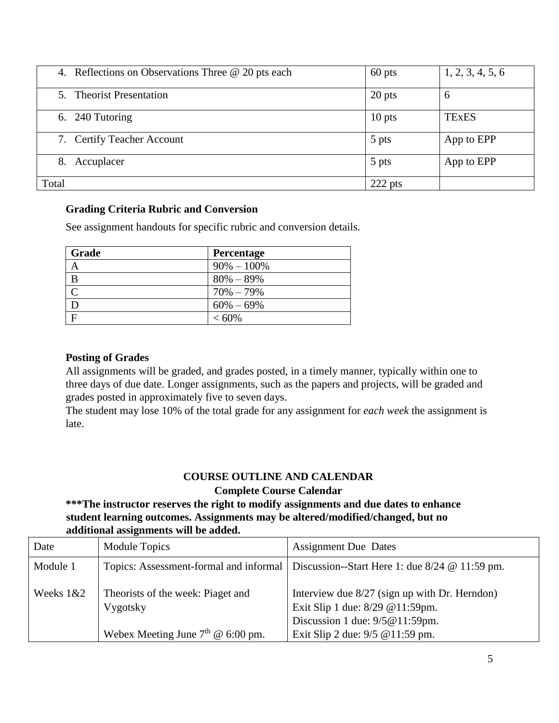| 4. Reflections on Observations Three @ 20 pts each | 60 pts    | 1, 2, 3, 4, 5, 6 |
|----------------------------------------------------|-----------|------------------|
| 5. Theorist Presentation                           | 20 pts    | 6                |
| 6. 240 Tutoring                                    | $10$ pts  | <b>TExES</b>     |
| 7. Certify Teacher Account                         | 5 pts     | App to EPP       |
| 8. Accuplacer                                      | 5 pts     | App to EPP       |
| Total                                              | $222$ pts |                  |

#### **Grading Criteria Rubric and Conversion**

See assignment handouts for specific rubric and conversion details.

| Grade        | Percentage     |
|--------------|----------------|
|              | $90\% - 100\%$ |
| B            | $80\% - 89\%$  |
| $\mathsf{C}$ | $70\% - 79\%$  |
| D            | $60\% - 69\%$  |
| F            | $< 60\%$       |

#### **Posting of Grades**

All assignments will be graded, and grades posted, in a timely manner, typically within one to three days of due date. Longer assignments, such as the papers and projects, will be graded and grades posted in approximately five to seven days.

The student may lose 10% of the total grade for any assignment for *each week* the assignment is late.

### **COURSE OUTLINE AND CALENDAR Complete Course Calendar**

### **\*\*\*The instructor reserves the right to modify assignments and due dates to enhance student learning outcomes. Assignments may be altered/modified/changed, but no additional assignments will be added.**

| Date        | Module Topics                                 | <b>Assignment Due Dates</b>                                                                                              |
|-------------|-----------------------------------------------|--------------------------------------------------------------------------------------------------------------------------|
| Module 1    |                                               | Topics: Assessment-formal and informal   Discussion--Start Here 1: due 8/24 @ 11:59 pm.                                  |
| Weeks $1&2$ | Theorists of the week: Piaget and<br>Vygotsky | Interview due $8/27$ (sign up with Dr. Herndon)<br>Exit Slip 1 due: 8/29 @ 11:59pm.<br>Discussion 1 due: $9/5@11:59$ pm. |
|             | Webex Meeting June $7th$ @ 6:00 pm.           | Exit Slip 2 due: $9/5$ @ 11:59 pm.                                                                                       |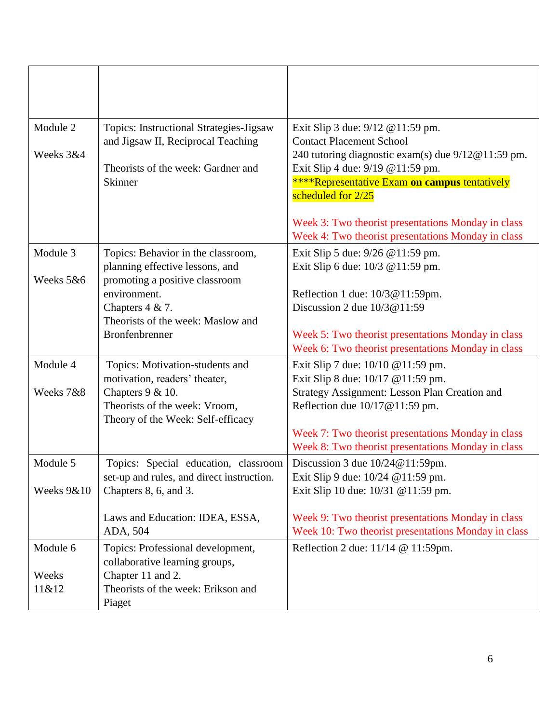| Module 2<br>Weeks 3&4  | <b>Topics: Instructional Strategies-Jigsaw</b><br>and Jigsaw II, Reciprocal Teaching<br>Theorists of the week: Gardner and<br>Skinner                         | Exit Slip 3 due: 9/12 @11:59 pm.<br><b>Contact Placement School</b><br>240 tutoring diagnostic exam(s) due 9/12@11:59 pm.<br>Exit Slip 4 due: 9/19 @11:59 pm.<br><b>****Representative Exam on campus tentatively</b><br>scheduled for 2/25<br>Week 3: Two theorist presentations Monday in class |
|------------------------|---------------------------------------------------------------------------------------------------------------------------------------------------------------|---------------------------------------------------------------------------------------------------------------------------------------------------------------------------------------------------------------------------------------------------------------------------------------------------|
|                        |                                                                                                                                                               | Week 4: Two theorist presentations Monday in class                                                                                                                                                                                                                                                |
| Module 3               | Topics: Behavior in the classroom,<br>planning effective lessons, and                                                                                         | Exit Slip 5 due: 9/26 @11:59 pm.<br>Exit Slip 6 due: 10/3 @11:59 pm.                                                                                                                                                                                                                              |
| Weeks 5&6              | promoting a positive classroom<br>environment.<br>Chapters $4 & 7$ .<br>Theorists of the week: Maslow and<br>Bronfenbrenner                                   | Reflection 1 due: 10/3@11:59pm.<br>Discussion 2 due $10/3@11:59$<br>Week 5: Two theorist presentations Monday in class                                                                                                                                                                            |
|                        |                                                                                                                                                               | Week 6: Two theorist presentations Monday in class                                                                                                                                                                                                                                                |
| Module 4<br>Weeks 7&8  | Topics: Motivation-students and<br>motivation, readers' theater,<br>Chapters $9 & 10$ .<br>Theorists of the week: Vroom,<br>Theory of the Week: Self-efficacy | Exit Slip 7 due: 10/10 @11:59 pm.<br>Exit Slip 8 due: 10/17 @11:59 pm.<br>Strategy Assignment: Lesson Plan Creation and<br>Reflection due $10/17@11:59$ pm.                                                                                                                                       |
|                        |                                                                                                                                                               | Week 7: Two theorist presentations Monday in class<br>Week 8: Two theorist presentations Monday in class                                                                                                                                                                                          |
| Module 5<br>Weeks 9&10 | Topics: Special education, classroom<br>set-up and rules, and direct instruction.<br>Chapters 8, 6, and 3.                                                    | Discussion 3 due $10/24@11:59$ pm.<br>Exit Slip 9 due: $10/24$ @ 11:59 pm.<br>Exit Slip 10 due: 10/31 @11:59 pm.                                                                                                                                                                                  |
|                        | Laws and Education: IDEA, ESSA,<br>ADA, 504                                                                                                                   | Week 9: Two theorist presentations Monday in class<br>Week 10: Two theorist presentations Monday in class                                                                                                                                                                                         |
| Module 6<br>Weeks      | Topics: Professional development,<br>collaborative learning groups,<br>Chapter 11 and 2.                                                                      | Reflection 2 due: 11/14 @ 11:59pm.                                                                                                                                                                                                                                                                |
| 11&12                  | Theorists of the week: Erikson and<br>Piaget                                                                                                                  |                                                                                                                                                                                                                                                                                                   |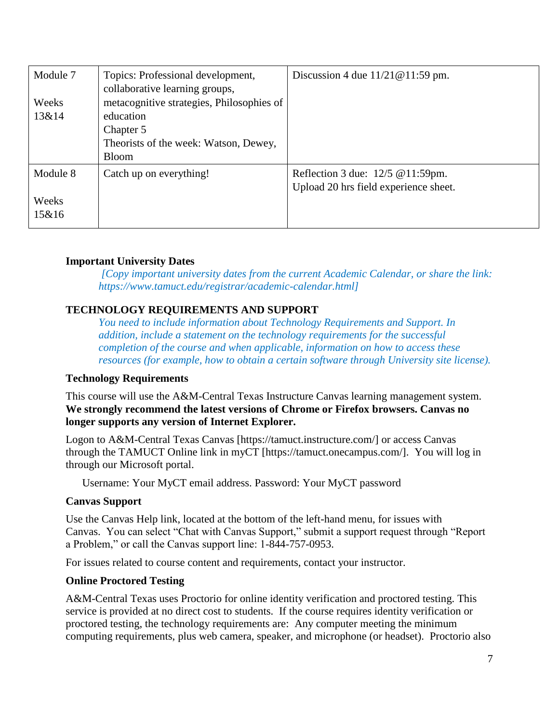| Module 7 | Topics: Professional development,<br>collaborative learning groups, | Discussion 4 due $11/21@11:59$ pm.    |
|----------|---------------------------------------------------------------------|---------------------------------------|
| Weeks    | metacognitive strategies, Philosophies of                           |                                       |
| 13&14    | education                                                           |                                       |
|          | Chapter 5                                                           |                                       |
|          | Theorists of the week: Watson, Dewey,                               |                                       |
|          | <b>Bloom</b>                                                        |                                       |
| Module 8 | Catch up on everything!                                             | Reflection 3 due: $12/5$ @ 11:59pm.   |
|          |                                                                     | Upload 20 hrs field experience sheet. |
| Weeks    |                                                                     |                                       |
| 15&16    |                                                                     |                                       |

#### **Important University Dates**

*[Copy important university dates from the current Academic Calendar, or share the link: https://www.tamuct.edu/registrar/academic-calendar.html]*

### **TECHNOLOGY REQUIREMENTS AND SUPPORT**

*You need to include information about Technology Requirements and Support. In addition, include a statement on the technology requirements for the successful completion of the course and when applicable, information on how to access these resources (for example, how to obtain a certain software through University site license).* 

#### **Technology Requirements**

This course will use the A&M-Central Texas Instructure Canvas learning management system. **We strongly recommend the latest versions of Chrome or Firefox browsers. Canvas no longer supports any version of Internet Explorer.**

Logon to A&M-Central Texas Canvas [https://tamuct.instructure.com/] or access Canvas through the TAMUCT Online link in myCT [https://tamuct.onecampus.com/]. You will log in through our Microsoft portal.

Username: Your MyCT email address. Password: Your MyCT password

#### **Canvas Support**

Use the Canvas Help link, located at the bottom of the left-hand menu, for issues with Canvas. You can select "Chat with Canvas Support," submit a support request through "Report a Problem," or call the Canvas support line: 1-844-757-0953.

For issues related to course content and requirements, contact your instructor.

#### **Online Proctored Testing**

A&M-Central Texas uses Proctorio for online identity verification and proctored testing. This service is provided at no direct cost to students. If the course requires identity verification or proctored testing, the technology requirements are: Any computer meeting the minimum computing requirements, plus web camera, speaker, and microphone (or headset). Proctorio also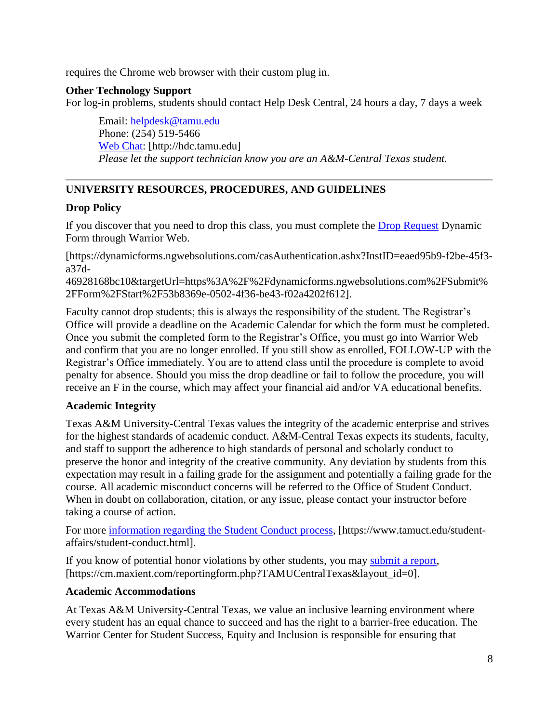requires the Chrome web browser with their custom plug in.

### **Other Technology Support**

For log-in problems, students should contact Help Desk Central, 24 hours a day, 7 days a week

Email: [helpdesk@tamu.edu](mailto:helpdesk@tamu.edu) Phone: (254) 519-5466 [Web Chat:](http://hdc.tamu.edu/) [http://hdc.tamu.edu] *Please let the support technician know you are an A&M-Central Texas student.*

# **UNIVERSITY RESOURCES, PROCEDURES, AND GUIDELINES**

## **Drop Policy**

If you discover that you need to drop this class, you must complete the **Drop Request Dynamic** Form through Warrior Web.

[https://dynamicforms.ngwebsolutions.com/casAuthentication.ashx?InstID=eaed95b9-f2be-45f3 a37d-

46928168bc10&targetUrl=https%3A%2F%2Fdynamicforms.ngwebsolutions.com%2FSubmit% 2FForm%2FStart%2F53b8369e-0502-4f36-be43-f02a4202f612].

Faculty cannot drop students; this is always the responsibility of the student. The Registrar's Office will provide a deadline on the Academic Calendar for which the form must be completed. Once you submit the completed form to the Registrar's Office, you must go into Warrior Web and confirm that you are no longer enrolled. If you still show as enrolled, FOLLOW-UP with the Registrar's Office immediately. You are to attend class until the procedure is complete to avoid penalty for absence. Should you miss the drop deadline or fail to follow the procedure, you will receive an F in the course, which may affect your financial aid and/or VA educational benefits.

### **Academic Integrity**

Texas A&M University-Central Texas values the integrity of the academic enterprise and strives for the highest standards of academic conduct. A&M-Central Texas expects its students, faculty, and staff to support the adherence to high standards of personal and scholarly conduct to preserve the honor and integrity of the creative community. Any deviation by students from this expectation may result in a failing grade for the assignment and potentially a failing grade for the course. All academic misconduct concerns will be referred to the Office of Student Conduct. When in doubt on collaboration, citation, or any issue, please contact your instructor before taking a course of action.

For more [information](https://nam04.safelinks.protection.outlook.com/?url=https%3A%2F%2Fwww.tamuct.edu%2Fstudent-affairs%2Fstudent-conduct.html&data=04%7C01%7Clisa.bunkowski%40tamuct.edu%7Ccfb6e486f24745f53e1a08d910055cb2%7C9eed4e3000f744849ff193ad8005acec%7C0%7C0%7C637558437485252160%7CUnknown%7CTWFpbGZsb3d8eyJWIjoiMC4wLjAwMDAiLCJQIjoiV2luMzIiLCJBTiI6Ik1haWwiLCJXVCI6Mn0%3D%7C1000&sdata=yjftDEVHvLX%2FhM%2FcFU0B99krV1RgEWR%2BJ%2BhvtoR6TYk%3D&reserved=0) regarding the Student Conduct process, [https://www.tamuct.edu/studentaffairs/student-conduct.html].

If you know of potential honor violations by other students, you may [submit](https://nam04.safelinks.protection.outlook.com/?url=https%3A%2F%2Fcm.maxient.com%2Freportingform.php%3FTAMUCentralTexas%26layout_id%3D0&data=04%7C01%7Clisa.bunkowski%40tamuct.edu%7Ccfb6e486f24745f53e1a08d910055cb2%7C9eed4e3000f744849ff193ad8005acec%7C0%7C0%7C637558437485262157%7CUnknown%7CTWFpbGZsb3d8eyJWIjoiMC4wLjAwMDAiLCJQIjoiV2luMzIiLCJBTiI6Ik1haWwiLCJXVCI6Mn0%3D%7C1000&sdata=CXGkOa6uPDPX1IMZ87z3aZDq2n91xfHKu4MMS43Ejjk%3D&reserved=0) a report, [https://cm.maxient.com/reportingform.php?TAMUCentralTexas&layout\_id=0].

### **Academic Accommodations**

At Texas A&M University-Central Texas, we value an inclusive learning environment where every student has an equal chance to succeed and has the right to a barrier-free education. The Warrior Center for Student Success, Equity and Inclusion is responsible for ensuring that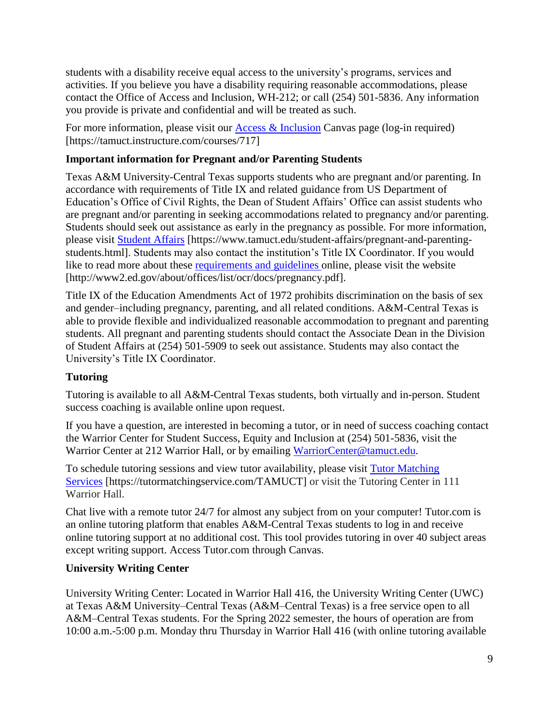students with a disability receive equal access to the university's programs, services and activities. If you believe you have a disability requiring reasonable accommodations, please contact the Office of Access and Inclusion, WH-212; or call (254) 501-5836. Any information you provide is private and confidential and will be treated as such.

For more information, please visit our [Access & Inclusion](https://tamuct.instructure.com/courses/717) Canvas page (log-in required) [https://tamuct.instructure.com/courses/717]

# **Important information for Pregnant and/or Parenting Students**

Texas A&M University-Central Texas supports students who are pregnant and/or parenting. In accordance with requirements of Title IX and related guidance from US Department of Education's Office of Civil Rights, the Dean of Student Affairs' Office can assist students who are pregnant and/or parenting in seeking accommodations related to pregnancy and/or parenting. Students should seek out assistance as early in the pregnancy as possible. For more information, please visit [Student Affairs](https://www.tamuct.edu/student-affairs/pregnant-and-parenting-students.html) [https://www.tamuct.edu/student-affairs/pregnant-and-parentingstudents.html]. Students may also contact the institution's Title IX Coordinator. If you would like to read more about these [requirements and guidelines](http://www2.ed.gov/about/offices/list/ocr/docs/pregnancy.pdf) online, please visit the website [http://www2.ed.gov/about/offices/list/ocr/docs/pregnancy.pdf].

Title IX of the Education Amendments Act of 1972 prohibits discrimination on the basis of sex and gender–including pregnancy, parenting, and all related conditions. A&M-Central Texas is able to provide flexible and individualized reasonable accommodation to pregnant and parenting students. All pregnant and parenting students should contact the Associate Dean in the Division of Student Affairs at (254) 501-5909 to seek out assistance. Students may also contact the University's Title IX Coordinator.

# **Tutoring**

Tutoring is available to all A&M-Central Texas students, both virtually and in-person. Student success coaching is available online upon request.

If you have a question, are interested in becoming a tutor, or in need of success coaching contact the Warrior Center for Student Success, Equity and Inclusion at (254) 501-5836, visit the Warrior Center at 212 Warrior Hall, or by emailing [WarriorCenter@tamuct.edu.](mailto:WarriorCenter@tamuct.edu)

To schedule tutoring sessions and view tutor availability, please visit Tutor [Matching](https://tutormatchingservice.com/TAMUCT) [Services](https://tutormatchingservice.com/TAMUCT) [https://tutormatchingservice.com/TAMUCT] or visit the Tutoring Center in 111 Warrior Hall.

Chat live with a remote tutor 24/7 for almost any subject from on your computer! Tutor.com is an online tutoring platform that enables A&M-Central Texas students to log in and receive online tutoring support at no additional cost. This tool provides tutoring in over 40 subject areas except writing support. Access Tutor.com through Canvas.

# **University Writing Center**

University Writing Center: Located in Warrior Hall 416, the University Writing Center (UWC) at Texas A&M University–Central Texas (A&M–Central Texas) is a free service open to all A&M–Central Texas students. For the Spring 2022 semester, the hours of operation are from 10:00 a.m.-5:00 p.m. Monday thru Thursday in Warrior Hall 416 (with online tutoring available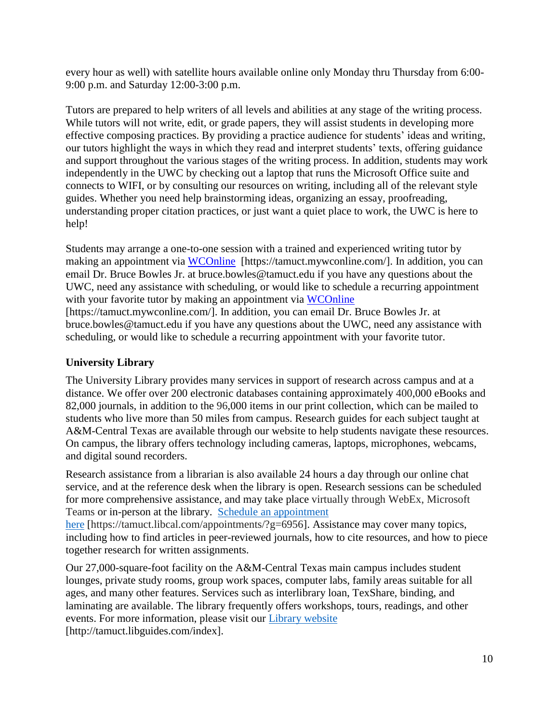every hour as well) with satellite hours available online only Monday thru Thursday from 6:00- 9:00 p.m. and Saturday 12:00-3:00 p.m.

Tutors are prepared to help writers of all levels and abilities at any stage of the writing process. While tutors will not write, edit, or grade papers, they will assist students in developing more effective composing practices. By providing a practice audience for students' ideas and writing, our tutors highlight the ways in which they read and interpret students' texts, offering guidance and support throughout the various stages of the writing process. In addition, students may work independently in the UWC by checking out a laptop that runs the Microsoft Office suite and connects to WIFI, or by consulting our resources on writing, including all of the relevant style guides. Whether you need help brainstorming ideas, organizing an essay, proofreading, understanding proper citation practices, or just want a quiet place to work, the UWC is here to help!

Students may arrange a one-to-one session with a trained and experienced writing tutor by making an appointment via [WCOnline](https://tamuct.mywconline.com/) [https://tamuct.mywconline.com/]. In addition, you can email Dr. Bruce Bowles Jr. at bruce.bowles@tamuct.edu if you have any questions about the UWC, need any assistance with scheduling, or would like to schedule a recurring appointment with your favorite tutor by making an appointment via [WCOnline](https://tamuct.mywconline.com/)

[https://tamuct.mywconline.com/]. In addition, you can email Dr. Bruce Bowles Jr. at bruce.bowles@tamuct.edu if you have any questions about the UWC, need any assistance with scheduling, or would like to schedule a recurring appointment with your favorite tutor.

### **University Library**

The University Library provides many services in support of research across campus and at a distance. We offer over 200 electronic databases containing approximately 400,000 eBooks and 82,000 journals, in addition to the 96,000 items in our print collection, which can be mailed to students who live more than 50 miles from campus. Research guides for each subject taught at A&M-Central Texas are available through our website to help students navigate these resources. On campus, the library offers technology including cameras, laptops, microphones, webcams, and digital sound recorders.

Research assistance from a librarian is also available 24 hours a day through our online chat service, and at the reference desk when the library is open. Research sessions can be scheduled for more comprehensive assistance, and may take place virtually through WebEx, Microsoft Teams or in-person at the library. Schedule an [appointment](https://nam04.safelinks.protection.outlook.com/?url=https%3A%2F%2Ftamuct.libcal.com%2Fappointments%2F%3Fg%3D6956&data=04%7C01%7Clisa.bunkowski%40tamuct.edu%7Cde2c07d9f5804f09518008d9ab7ba6ff%7C9eed4e3000f744849ff193ad8005acec%7C0%7C0%7C637729369835011558%7CUnknown%7CTWFpbGZsb3d8eyJWIjoiMC4wLjAwMDAiLCJQIjoiV2luMzIiLCJBTiI6Ik1haWwiLCJXVCI6Mn0%3D%7C3000&sdata=KhtjgRSAw9aq%2FoBsB6wyu8b7PSuGN5EGPypzr3Ty2No%3D&reserved=0) [here](https://nam04.safelinks.protection.outlook.com/?url=https%3A%2F%2Ftamuct.libcal.com%2Fappointments%2F%3Fg%3D6956&data=04%7C01%7Clisa.bunkowski%40tamuct.edu%7Cde2c07d9f5804f09518008d9ab7ba6ff%7C9eed4e3000f744849ff193ad8005acec%7C0%7C0%7C637729369835011558%7CUnknown%7CTWFpbGZsb3d8eyJWIjoiMC4wLjAwMDAiLCJQIjoiV2luMzIiLCJBTiI6Ik1haWwiLCJXVCI6Mn0%3D%7C3000&sdata=KhtjgRSAw9aq%2FoBsB6wyu8b7PSuGN5EGPypzr3Ty2No%3D&reserved=0) [https://tamuct.libcal.com/appointments/?g=6956]. Assistance may cover many topics, including how to find articles in peer-reviewed journals, how to cite resources, and how to piece together research for written assignments.

Our 27,000-square-foot facility on the A&M-Central Texas main campus includes student lounges, private study rooms, group work spaces, computer labs, family areas suitable for all ages, and many other features. Services such as interlibrary loan, TexShare, binding, and laminating are available. The library frequently offers workshops, tours, readings, and other events. For more information, please visit our Library [website](https://nam04.safelinks.protection.outlook.com/?url=https%3A%2F%2Ftamuct.libguides.com%2Findex&data=04%7C01%7Clisa.bunkowski%40tamuct.edu%7C7d8489e8839a4915335f08d916f067f2%7C9eed4e3000f744849ff193ad8005acec%7C0%7C0%7C637566044056484222%7CUnknown%7CTWFpbGZsb3d8eyJWIjoiMC4wLjAwMDAiLCJQIjoiV2luMzIiLCJBTiI6Ik1haWwiLCJXVCI6Mn0%3D%7C1000&sdata=2R755V6rcIyedGrd4Os5rkgn1PvhHKU3kUV1vBKiHFo%3D&reserved=0) [http://tamuct.libguides.com/index].